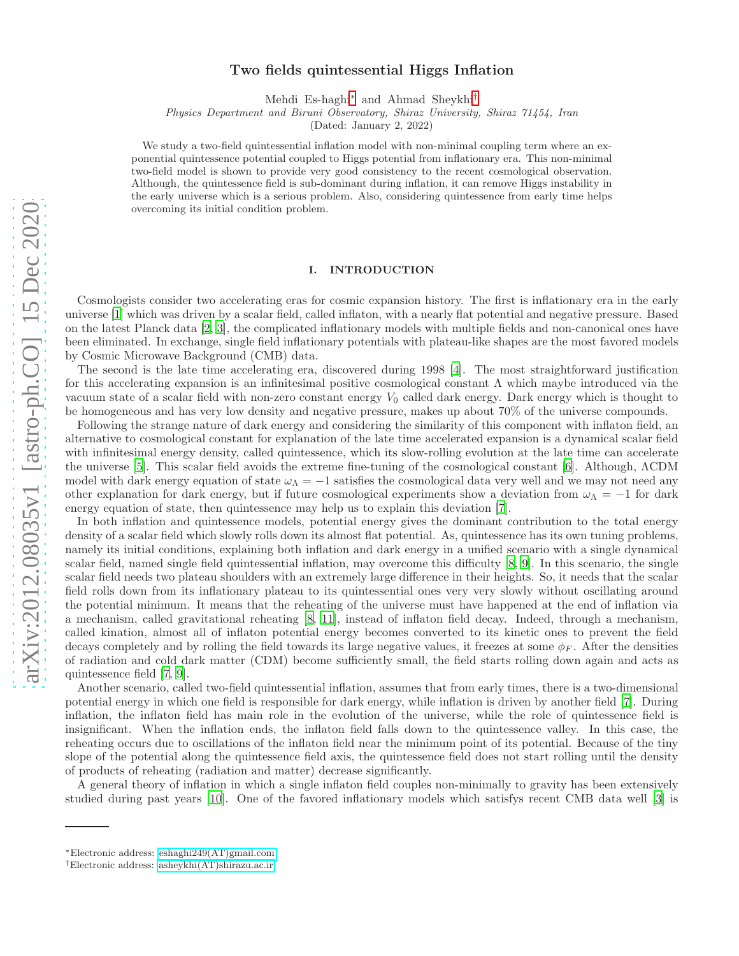# Two fields quintessential Higgs Inflation

Mehdi Es-haghi[∗](#page-0-0) and Ahmad Sheykhi[†](#page-0-1)

Physics Department and Biruni Observatory, Shiraz University, Shiraz 71454, Iran

(Dated: January 2, 2022)

We study a two-field quintessential inflation model with non-minimal coupling term where an exponential quintessence potential coupled to Higgs potential from inflationary era. This non-minimal two-field model is shown to provide very good consistency to the recent cosmological observation. Although, the quintessence field is sub-dominant during inflation, it can remove Higgs instability in the early universe which is a serious problem. Also, considering quintessence from early time helps overcoming its initial condition problem.

### I. INTRODUCTION

Cosmologists consider two accelerating eras for cosmic expansion history. The first is inflationary era in the early universe [\[1\]](#page-7-0) which was driven by a scalar field, called inflaton, with a nearly flat potential and negative pressure. Based on the latest Planck data [\[2](#page-7-1), [3\]](#page-7-2), the complicated inflationary models with multiple fields and non-canonical ones have been eliminated. In exchange, single field inflationary potentials with plateau-like shapes are the most favored models by Cosmic Microwave Background (CMB) data.

The second is the late time accelerating era, discovered during 1998 [\[4\]](#page-7-3). The most straightforward justification for this accelerating expansion is an infinitesimal positive cosmological constant  $\Lambda$  which maybe introduced via the vacuum state of a scalar field with non-zero constant energy  $V_0$  called dark energy. Dark energy which is thought to be homogeneous and has very low density and negative pressure, makes up about 70% of the universe compounds.

Following the strange nature of dark energy and considering the similarity of this component with inflaton field, an alternative to cosmological constant for explanation of the late time accelerated expansion is a dynamical scalar field with infinitesimal energy density, called quintessence, which its slow-rolling evolution at the late time can accelerate the universe [\[5](#page-7-4)]. This scalar field avoids the extreme fine-tuning of the cosmological constant [\[6\]](#page-7-5). Although, ΛCDM model with dark energy equation of state  $\omega_{\Lambda} = -1$  satisfies the cosmological data very well and we may not need any other explanation for dark energy, but if future cosmological experiments show a deviation from  $\omega_{\Lambda} = -1$  for dark energy equation of state, then quintessence may help us to explain this deviation [\[7](#page-7-6)].

In both inflation and quintessence models, potential energy gives the dominant contribution to the total energy density of a scalar field which slowly rolls down its almost flat potential. As, quintessence has its own tuning problems, namely its initial conditions, explaining both inflation and dark energy in a unified scenario with a single dynamical scalar field, named single field quintessential inflation, may overcome this difficulty [\[8](#page-7-7), [9\]](#page-7-8). In this scenario, the single scalar field needs two plateau shoulders with an extremely large difference in their heights. So, it needs that the scalar field rolls down from its inflationary plateau to its quintessential ones very very slowly without oscillating around the potential minimum. It means that the reheating of the universe must have happened at the end of inflation via a mechanism, called gravitational reheating [\[8,](#page-7-7) [11\]](#page-8-0), instead of inflaton field decay. Indeed, through a mechanism, called kination, almost all of inflaton potential energy becomes converted to its kinetic ones to prevent the field decays completely and by rolling the field towards its large negative values, it freezes at some  $\phi_F$ . After the densities of radiation and cold dark matter (CDM) become sufficiently small, the field starts rolling down again and acts as quintessence field [\[7,](#page-7-6) [9\]](#page-7-8).

Another scenario, called two-field quintessential inflation, assumes that from early times, there is a two-dimensional potential energy in which one field is responsible for dark energy, while inflation is driven by another field [\[7\]](#page-7-6). During inflation, the inflaton field has main role in the evolution of the universe, while the role of quintessence field is insignificant. When the inflation ends, the inflaton field falls down to the quintessence valley. In this case, the reheating occurs due to oscillations of the inflaton field near the minimum point of its potential. Because of the tiny slope of the potential along the quintessence field axis, the quintessence field does not start rolling until the density of products of reheating (radiation and matter) decrease significantly.

A general theory of inflation in which a single inflaton field couples non-minimally to gravity has been extensively studied during past years [\[10\]](#page-8-1). One of the favored inflationary models which satisfys recent CMB data well [\[3\]](#page-7-2) is

<span id="page-0-0"></span><sup>∗</sup>Electronic address: [eshaghi249\(AT\)gmail.com](mailto:eshaghi249(AT)gmail.com)

<span id="page-0-1"></span><sup>†</sup>Electronic address: [asheykhi\(AT\)shirazu.ac.ir](mailto:asheykhi(AT)shirazu.ac.ir)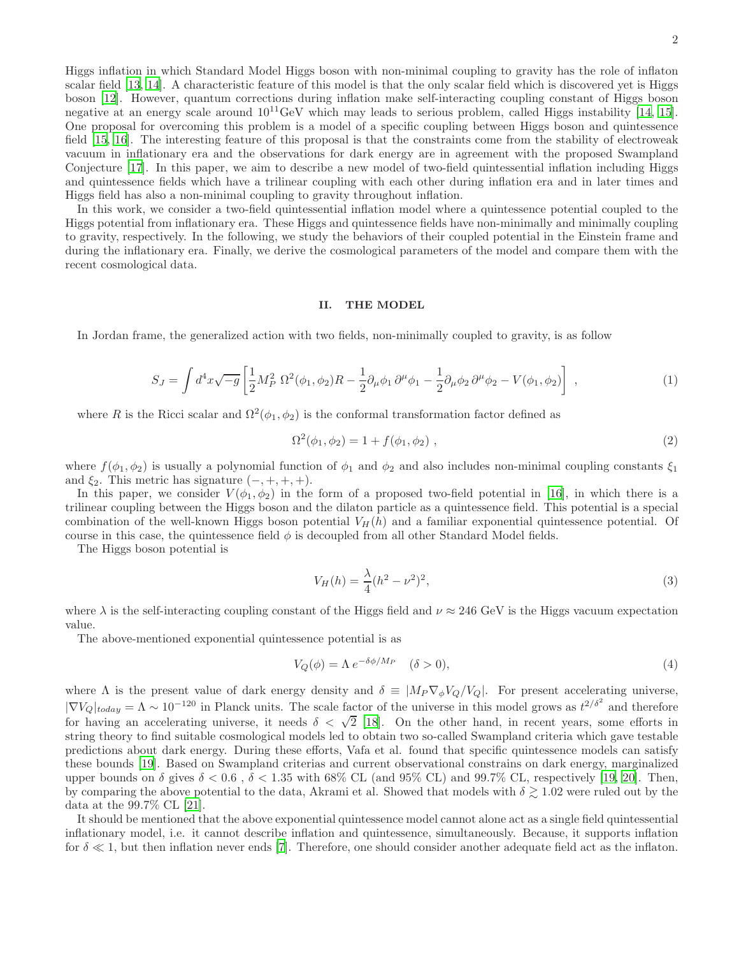Higgs inflation in which Standard Model Higgs boson with non-minimal coupling to gravity has the role of inflaton scalar field [\[13](#page-8-2), [14\]](#page-8-3). A characteristic feature of this model is that the only scalar field which is discovered yet is Higgs boson [\[12](#page-8-4)]. However, quantum corrections during inflation make self-interacting coupling constant of Higgs boson negative at an energy scale around  $10^{11}$ GeV which may leads to serious problem, called Higgs instability [\[14,](#page-8-3) [15\]](#page-8-5). One proposal for overcoming this problem is a model of a specific coupling between Higgs boson and quintessence field [\[15,](#page-8-5) [16](#page-8-6)]. The interesting feature of this proposal is that the constraints come from the stability of electroweak vacuum in inflationary era and the observations for dark energy are in agreement with the proposed Swampland Conjecture [\[17\]](#page-8-7). In this paper, we aim to describe a new model of two-field quintessential inflation including Higgs and quintessence fields which have a trilinear coupling with each other during inflation era and in later times and Higgs field has also a non-minimal coupling to gravity throughout inflation.

In this work, we consider a two-field quintessential inflation model where a quintessence potential coupled to the Higgs potential from inflationary era. These Higgs and quintessence fields have non-minimally and minimally coupling to gravity, respectively. In the following, we study the behaviors of their coupled potential in the Einstein frame and during the inflationary era. Finally, we derive the cosmological parameters of the model and compare them with the recent cosmological data.

# II. THE MODEL

In Jordan frame, the generalized action with two fields, non-minimally coupled to gravity, is as follow

<span id="page-1-2"></span>
$$
S_J = \int d^4x \sqrt{-g} \left[ \frac{1}{2} M_P^2 \ \Omega^2(\phi_1, \phi_2) R - \frac{1}{2} \partial_\mu \phi_1 \ \partial^\mu \phi_1 - \frac{1}{2} \partial_\mu \phi_2 \ \partial^\mu \phi_2 - V(\phi_1, \phi_2) \right] \ , \tag{1}
$$

where R is the Ricci scalar and  $\Omega^2(\phi_1, \phi_2)$  is the conformal transformation factor defined as

<span id="page-1-3"></span>
$$
\Omega^2(\phi_1, \phi_2) = 1 + f(\phi_1, \phi_2) \tag{2}
$$

where  $f(\phi_1, \phi_2)$  is usually a polynomial function of  $\phi_1$  and  $\phi_2$  and also includes non-minimal coupling constants  $\xi_1$ and  $\xi_2$ . This metric has signature  $(-, +, +, +)$ .

In this paper, we consider  $V(\phi_1, \phi_2)$  in the form of a proposed two-field potential in [\[16\]](#page-8-6), in which there is a trilinear coupling between the Higgs boson and the dilaton particle as a quintessence field. This potential is a special combination of the well-known Higgs boson potential  $V_H(h)$  and a familiar exponential quintessence potential. Of course in this case, the quintessence field  $\phi$  is decoupled from all other Standard Model fields.

The Higgs boson potential is

<span id="page-1-0"></span>
$$
V_H(h) = \frac{\lambda}{4} (h^2 - \nu^2)^2,
$$
\n(3)

where  $\lambda$  is the self-interacting coupling constant of the Higgs field and  $\nu \approx 246 \text{ GeV}$  is the Higgs vacuum expectation value.

The above-mentioned exponential quintessence potential is as

<span id="page-1-1"></span>
$$
V_Q(\phi) = \Lambda \, e^{-\delta \phi / M_P} \quad (\delta > 0),\tag{4}
$$

where  $\Lambda$  is the present value of dark energy density and  $\delta \equiv |M_P \nabla_{\phi} V_Q/V_Q|$ . For present accelerating universe,  $|\nabla V_Q|_{today} = \Lambda \sim 10^{-120}$  in Planck units. The scale factor of the universe in this model grows as  $t^{2/\delta^2}$  and therefore<br>for having an accelerating universe, it needs  $\delta < \sqrt{2}$  [\[18](#page-8-8)]. On the other hand, in recent years string theory to find suitable cosmological models led to obtain two so-called Swampland criteria which gave testable predictions about dark energy. During these efforts, Vafa et al. found that specific quintessence models can satisfy these bounds [\[19](#page-8-9)]. Based on Swampland criterias and current observational constrains on dark energy, marginalized upper bounds on  $\delta$  gives  $\delta < 0.6$ ,  $\delta < 1.35$  with 68% CL (and 95% CL) and 99.7% CL, respectively [\[19,](#page-8-9) [20](#page-8-10)]. Then, by comparing the above potential to the data, Akrami et al. Showed that models with  $\delta \gtrsim 1.02$  were ruled out by the data at the 99.7% CL [\[21\]](#page-8-11).

It should be mentioned that the above exponential quintessence model cannot alone act as a single field quintessential inflationary model, i.e. it cannot describe inflation and quintessence, simultaneously. Because, it supports inflation for  $\delta \ll 1$ , but then inflation never ends [\[7](#page-7-6)]. Therefore, one should consider another adequate field act as the inflaton.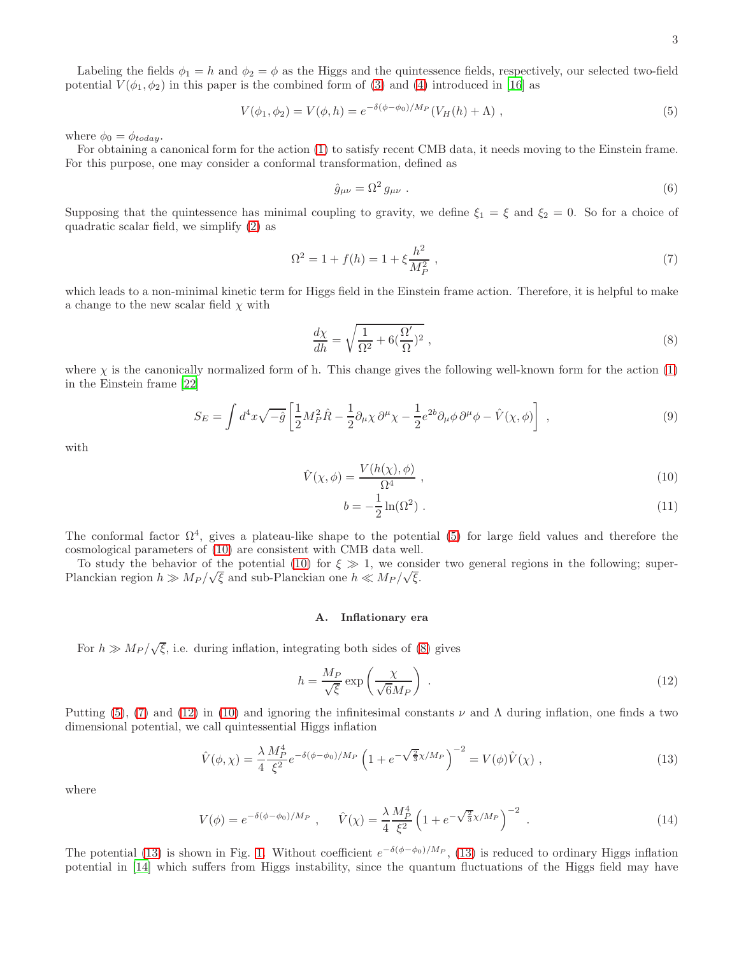Labeling the fields  $\phi_1 = h$  and  $\phi_2 = \phi$  as the Higgs and the quintessence fields, respectively, our selected two-field potential  $V(\phi_1, \phi_2)$  in this paper is the combined form of [\(3\)](#page-1-0) and [\(4\)](#page-1-1) introduced in [\[16\]](#page-8-6) as

<span id="page-2-0"></span>
$$
V(\phi_1, \phi_2) = V(\phi, h) = e^{-\delta(\phi - \phi_0)/M_P} (V_H(h) + \Lambda) , \qquad (5)
$$

where  $\phi_0 = \phi_{today}$ .

For obtaining a canonical form for the action [\(1\)](#page-1-2) to satisfy recent CMB data, it needs moving to the Einstein frame. For this purpose, one may consider a conformal transformation, defined as

$$
\hat{g}_{\mu\nu} = \Omega^2 g_{\mu\nu} \tag{6}
$$

Supposing that the quintessence has minimal coupling to gravity, we define  $\xi_1 = \xi$  and  $\xi_2 = 0$ . So for a choice of quadratic scalar field, we simplify [\(2\)](#page-1-3) as

<span id="page-2-3"></span>
$$
\Omega^2 = 1 + f(h) = 1 + \xi \frac{h^2}{M_P^2} \,,\tag{7}
$$

which leads to a non-minimal kinetic term for Higgs field in the Einstein frame action. Therefore, it is helpful to make a change to the new scalar field  $\chi$  with

<span id="page-2-2"></span>
$$
\frac{d\chi}{dh} = \sqrt{\frac{1}{\Omega^2} + 6(\frac{\Omega'}{\Omega})^2} \,,\tag{8}
$$

where  $\chi$  is the canonically normalized form of h. This change gives the following well-known form for the action [\(1\)](#page-1-2) in the Einstein frame [\[22](#page-8-12)]

$$
S_E = \int d^4x \sqrt{-\hat{g}} \left[ \frac{1}{2} M_P^2 \hat{R} - \frac{1}{2} \partial_\mu \chi \partial^\mu \chi - \frac{1}{2} e^{2b} \partial_\mu \phi \partial^\mu \phi - \hat{V}(\chi, \phi) \right] , \qquad (9)
$$

with

<span id="page-2-1"></span>
$$
\hat{V}(\chi,\phi) = \frac{V(h(\chi),\phi)}{\Omega^4} \,,\tag{10}
$$

$$
b = -\frac{1}{2}\ln(\Omega^2) \tag{11}
$$

The conformal factor  $\Omega^4$ , gives a plateau-like shape to the potential [\(5\)](#page-2-0) for large field values and therefore the cosmological parameters of [\(10\)](#page-2-1) are consistent with CMB data well.

To study the behavior of the potential [\(10\)](#page-2-1) for  $\xi \gg 1$ , we consider two general regions in the following; super-Planckian region  $h \gg M_P / \sqrt{\xi}$  and sub-Planckian one  $h \ll M_P / \sqrt{\xi}$ .

### A. Inflationary era

For  $h \gg M_P / \sqrt{\xi}$ , i.e. during inflation, integrating both sides of [\(8\)](#page-2-2) gives

<span id="page-2-4"></span>
$$
h = \frac{M_P}{\sqrt{\xi}} \exp\left(\frac{\chi}{\sqrt{6}M_P}\right) \tag{12}
$$

Putting [\(5\)](#page-2-0), [\(7\)](#page-2-3) and [\(12\)](#page-2-4) in [\(10\)](#page-2-1) and ignoring the infinitesimal constants  $\nu$  and  $\Lambda$  during inflation, one finds a two dimensional potential, we call quintessential Higgs inflation

<span id="page-2-5"></span>
$$
\hat{V}(\phi,\chi) = \frac{\lambda}{4} \frac{M_P^4}{\xi^2} e^{-\delta(\phi-\phi_0)/M_P} \left(1 + e^{-\sqrt{\frac{2}{3}}\chi/M_P}\right)^{-2} = V(\phi)\hat{V}(\chi) ,
$$
\n(13)

where

$$
V(\phi) = e^{-\delta(\phi - \phi_0)/M_P} \ , \quad \hat{V}(\chi) = \frac{\lambda}{4} \frac{M_P^4}{\xi^2} \left(1 + e^{-\sqrt{\frac{2}{3}}\chi/M_P}\right)^{-2} \ . \tag{14}
$$

The potential [\(13\)](#page-2-5) is shown in Fig. [1.](#page-3-0) Without coefficient  $e^{-\delta(\phi-\phi_0)/M_P}$ , (13) is reduced to ordinary Higgs inflation potential in [\[14\]](#page-8-3) which suffers from Higgs instability, since the quantum fluctuations of the Higgs field may have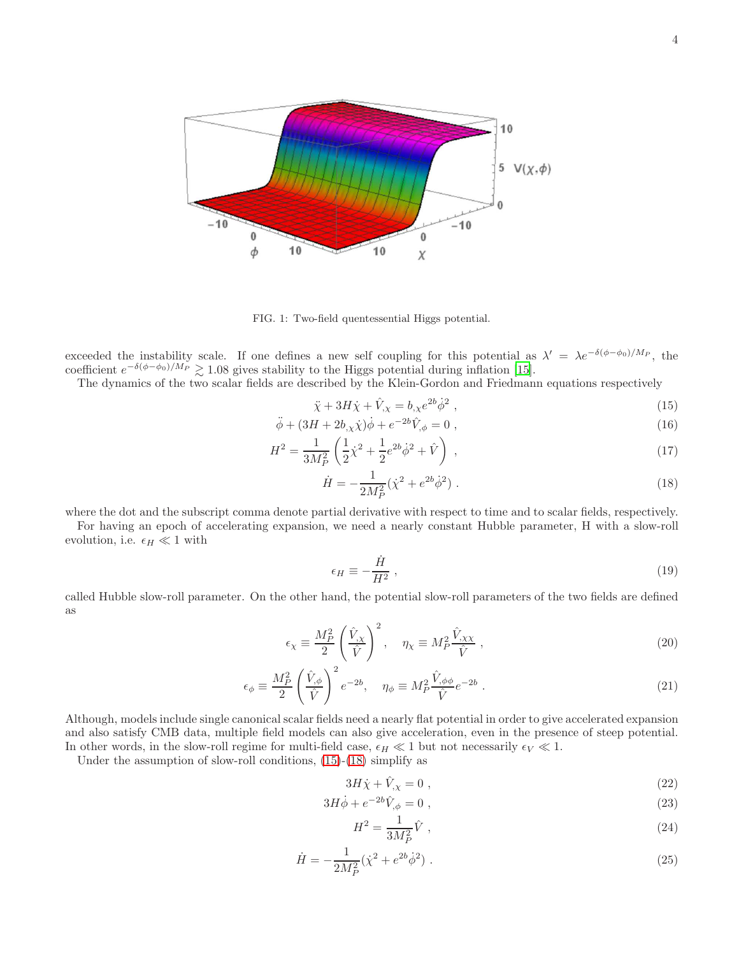

<span id="page-3-0"></span>FIG. 1: Two-field quentessential Higgs potential.

exceeded the instability scale. If one defines a new self coupling for this potential as  $\lambda' = \lambda e^{-\delta(\phi - \phi_0)/M_P}$ , the coefficient  $e^{-\delta(\phi-\phi_0)/M_P} \gtrsim 1.08$  gives stability to the Higgs potential during inflation [\[15\]](#page-8-5).

The dynamics of the two scalar fields are described by the Klein-Gordon and Friedmann equations respectively

<span id="page-3-1"></span>
$$
\ddot{\chi} + 3H\dot{\chi} + \hat{V}_{,\chi} = b_{,\chi}e^{2b}\dot{\phi}^2 , \qquad (15)
$$

$$
\ddot{\phi} + (3H + 2b_{,x}\dot{\chi})\dot{\phi} + e^{-2b}\hat{V}_{,\phi} = 0 , \qquad (16)
$$

$$
H^{2} = \frac{1}{3M_{P}^{2}} \left( \frac{1}{2} \dot{\chi}^{2} + \frac{1}{2} e^{2b} \dot{\phi}^{2} + \hat{V} \right) , \qquad (17)
$$

$$
\dot{H} = -\frac{1}{2M_P^2} (\dot{\chi}^2 + e^{2b}\dot{\phi}^2) \tag{18}
$$

where the dot and the subscript comma denote partial derivative with respect to time and to scalar fields, respectively.

For having an epoch of accelerating expansion, we need a nearly constant Hubble parameter, H with a slow-roll evolution, i.e.  $\epsilon_H \ll 1$  with

<span id="page-3-2"></span>
$$
\epsilon_H \equiv -\frac{\dot{H}}{H^2} \,,\tag{19}
$$

called Hubble slow-roll parameter. On the other hand, the potential slow-roll parameters of the two fields are defined as

<span id="page-3-4"></span>
$$
\epsilon_{\chi} \equiv \frac{M_P^2}{2} \left( \frac{\hat{V}_{,\chi}}{\hat{V}} \right)^2, \quad \eta_{\chi} \equiv M_P^2 \frac{\hat{V}_{,\chi\chi}}{\hat{V}}, \tag{20}
$$

$$
\epsilon_{\phi} \equiv \frac{M_P^2}{2} \left(\frac{\hat{V}_{,\phi}}{\hat{V}}\right)^2 e^{-2b}, \quad \eta_{\phi} \equiv M_P^2 \frac{\hat{V}_{,\phi\phi}}{\hat{V}} e^{-2b} . \tag{21}
$$

Although, models include single canonical scalar fields need a nearly flat potential in order to give accelerated expansion and also satisfy CMB data, multiple field models can also give acceleration, even in the presence of steep potential. In other words, in the slow-roll regime for multi-field case,  $\epsilon_H \ll 1$  but not necessarily  $\epsilon_V \ll 1$ .

Under the assumption of slow-roll conditions, [\(15\)](#page-3-1)-[\(18\)](#page-3-1) simplify as

<span id="page-3-3"></span>
$$
3H\dot{\chi} + \dot{V}_{,\chi} = 0 \tag{22}
$$

$$
3H\dot{\phi} + e^{-2b}\hat{V}_{,\phi} = 0 , \qquad (23)
$$

$$
H^2 = \frac{1}{3M_P^2} \hat{V} \tag{24}
$$

$$
\dot{H} = -\frac{1}{2M_P^2} (\dot{\chi}^2 + e^{2b} \dot{\phi}^2) \tag{25}
$$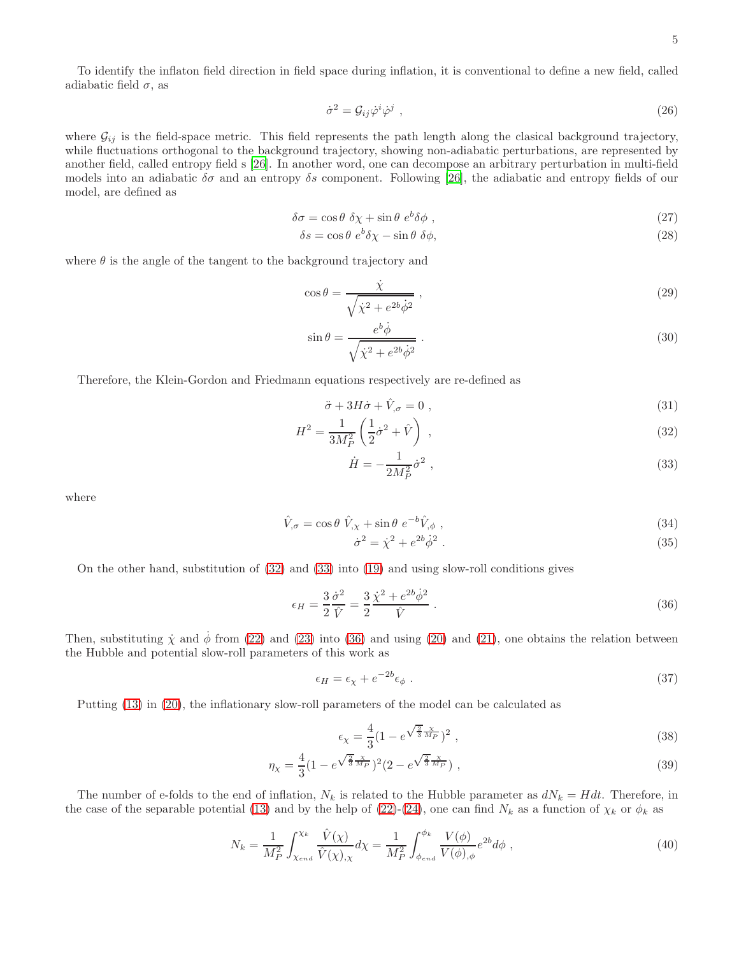To identify the inflaton field direction in field space during inflation, it is conventional to define a new field, called adiabatic field  $\sigma$ , as

$$
\dot{\sigma}^2 = \mathcal{G}_{ij}\dot{\varphi}^i\dot{\varphi}^j \tag{26}
$$

where  $\mathcal{G}_{ij}$  is the field-space metric. This field represents the path length along the clasical background trajectory, while fluctuations orthogonal to the background trajectory, showing non-adiabatic perturbations, are represented by another field, called entropy field s [\[26\]](#page-8-13). In another word, one can decompose an arbitrary perturbation in multi-field models into an adiabatic  $\delta\sigma$  and an entropy  $\delta s$  component. Following [\[26\]](#page-8-13), the adiabatic and entropy fields of our model, are defined as

$$
\delta \sigma = \cos \theta \ \delta \chi + \sin \theta \ e^b \delta \phi \ , \tag{27}
$$

$$
\delta s = \cos \theta \ e^b \delta \chi - \sin \theta \ \delta \phi,\tag{28}
$$

where  $\theta$  is the angle of the tangent to the background trajectory and

$$
\cos \theta = \frac{\dot{\chi}}{\sqrt{\dot{\chi}^2 + e^{2b}\dot{\phi}^2}} \,, \tag{29}
$$

$$
\sin \theta = \frac{e^b \dot{\phi}}{\sqrt{\dot{\chi}^2 + e^{2b} \dot{\phi}^2}} \,. \tag{30}
$$

Therefore, the Klein-Gordon and Friedmann equations respectively are re-defined as

<span id="page-4-0"></span>
$$
\ddot{\sigma} + 3H\dot{\sigma} + \dot{V}_{,\sigma} = 0 , \qquad (31)
$$

$$
H^2 = \frac{1}{3M_P^2} \left( \frac{1}{2} \dot{\sigma}^2 + \hat{V} \right) , \qquad (32)
$$

$$
\dot{H} = -\frac{1}{2M_P^2} \dot{\sigma}^2 \;, \tag{33}
$$

where

$$
\hat{V}_{,\sigma} = \cos\theta \ \hat{V}_{,\chi} + \sin\theta \ e^{-b} \hat{V}_{,\phi} \ , \tag{34}
$$

$$
\dot{\sigma}^2 = \dot{\chi}^2 + e^{2b} \dot{\phi}^2 \,. \tag{35}
$$

On the other hand, substitution of [\(32\)](#page-4-0) and [\(33\)](#page-4-0) into [\(19\)](#page-3-2) and using slow-roll conditions gives

<span id="page-4-1"></span>
$$
\epsilon_H = \frac{3}{2} \frac{\dot{\sigma}^2}{\hat{V}} = \frac{3}{2} \frac{\dot{\chi}^2 + e^{2b} \dot{\phi}^2}{\hat{V}} \,. \tag{36}
$$

Then, substituting  $\dot{\chi}$  and  $\dot{\phi}$  from [\(22\)](#page-3-3) and [\(23\)](#page-3-3) into [\(36\)](#page-4-1) and using [\(20\)](#page-3-4) and [\(21\)](#page-3-4), one obtains the relation between the Hubble and potential slow-roll parameters of this work as

$$
\epsilon_H = \epsilon_\chi + e^{-2b} \epsilon_\phi \tag{37}
$$

Putting [\(13\)](#page-2-5) in [\(20\)](#page-3-4), the inflationary slow-roll parameters of the model can be calculated as

<span id="page-4-2"></span>
$$
\epsilon_{\chi} = \frac{4}{3} (1 - e^{\sqrt{\frac{2}{3}} \frac{\chi}{M_P}})^2 \tag{38}
$$

$$
\eta_{\chi} = \frac{4}{3} (1 - e^{\sqrt{\frac{2}{3}} \frac{\chi}{M_P}})^2 (2 - e^{\sqrt{\frac{2}{3}} \frac{\chi}{M_P}}) , \qquad (39)
$$

The number of e-folds to the end of inflation,  $N_k$  is related to the Hubble parameter as  $dN_k = Hdt$ . Therefore, in the case of the separable potential [\(13\)](#page-2-5) and by the help of [\(22\)](#page-3-3)-[\(24\)](#page-3-3), one can find  $N_k$  as a function of  $\chi_k$  or  $\phi_k$  as

<span id="page-4-3"></span>
$$
N_k = \frac{1}{M_P^2} \int_{\chi_{end}}^{\chi_k} \frac{\hat{V}(\chi)}{\hat{V}(\chi)_{,\chi}} d\chi = \frac{1}{M_P^2} \int_{\phi_{end}}^{\phi_k} \frac{V(\phi)}{V(\phi)_{,\phi}} e^{2b} d\phi , \qquad (40)
$$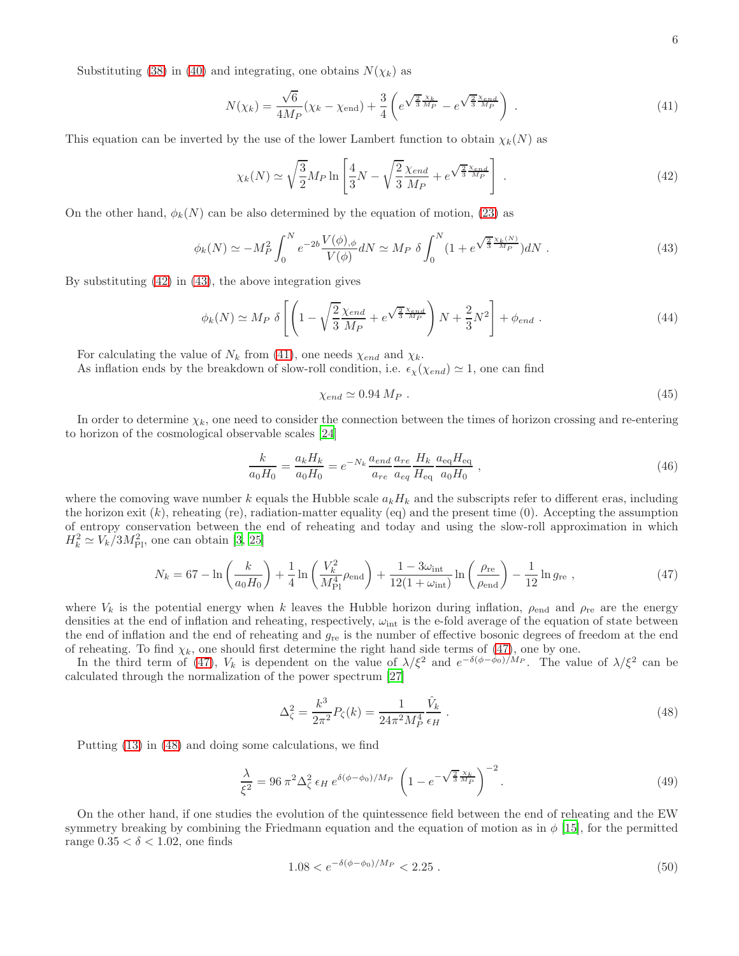Substituting [\(38\)](#page-4-2) in [\(40\)](#page-4-3) and integrating, one obtains  $N(\chi_k)$  as

<span id="page-5-2"></span>
$$
N(\chi_k) = \frac{\sqrt{6}}{4M_P} (\chi_k - \chi_{\text{end}}) + \frac{3}{4} \left( e^{\sqrt{\frac{2}{3}} \frac{\chi_k}{M_P}} - e^{\sqrt{\frac{2}{3}} \frac{\chi_{end}}{M_P}} \right) . \tag{41}
$$

This equation can be inverted by the use of the lower Lambert function to obtain  $\chi_k(N)$  as

<span id="page-5-0"></span>
$$
\chi_k(N) \simeq \sqrt{\frac{3}{2}} M_P \ln \left[ \frac{4}{3} N - \sqrt{\frac{2}{3}} \frac{\chi_{end}}{M_P} + e^{\sqrt{\frac{2}{3}} \frac{\chi_{end}}{M_P}} \right] \,. \tag{42}
$$

On the other hand,  $\phi_k(N)$  can be also determined by the equation of motion, [\(23\)](#page-3-3) as

<span id="page-5-1"></span>
$$
\phi_k(N) \simeq -M_P^2 \int_0^N e^{-2b} \frac{V(\phi)_{,\phi}}{V(\phi)} dN \simeq M_P \ \delta \int_0^N (1 + e^{\sqrt{\frac{2}{3}} \frac{\chi_k(N)}{M_P}}) dN \ . \tag{43}
$$

By substituting [\(42\)](#page-5-0) in [\(43\)](#page-5-1), the above integration gives

$$
\phi_k(N) \simeq M_P \ \delta \left[ \left( 1 - \sqrt{\frac{2}{3}} \frac{\chi_{end}}{M_P} + e^{\sqrt{\frac{2}{3}} \frac{\chi_{end}}{M_P}} \right) N + \frac{2}{3} N^2 \right] + \phi_{end} \ . \tag{44}
$$

For calculating the value of  $N_k$  from [\(41\)](#page-5-2), one needs  $\chi_{end}$  and  $\chi_k$ .

As inflation ends by the breakdown of slow-roll condition, i.e.  $\epsilon_{\chi}(\chi_{end}) \simeq 1$ , one can find

$$
\chi_{end} \simeq 0.94 \, M_P \tag{45}
$$

In order to determine  $\chi_k$ , one need to consider the connection between the times of horizon crossing and re-entering to horizon of the cosmological observable scales [\[24\]](#page-8-14)

$$
\frac{k}{a_0H_0} = \frac{a_kH_k}{a_0H_0} = e^{-N_k} \frac{a_{end}}{a_{re}} \frac{a_{re}}{a_{eq}} \frac{H_k}{H_{eq}} \frac{a_{eq}H_{eq}}{a_0H_0} ,
$$
\n(46)

where the comoving wave number k equals the Hubble scale  $a_kH_k$  and the subscripts refer to different eras, including the horizon exit  $(k)$ , reheating (re), radiation-matter equality (eq) and the present time  $(0)$ . Accepting the assumption of entropy conservation between the end of reheating and today and using the slow-roll approximation in which  $H_k^2 \simeq V_k/3M_{\rm Pl}^2$ , one can obtain [\[3,](#page-7-2) [25\]](#page-8-15)

<span id="page-5-3"></span>
$$
N_k = 67 - \ln\left(\frac{k}{a_0 H_0}\right) + \frac{1}{4} \ln\left(\frac{V_k^2}{M_{\text{Pl}}^4} \rho_{\text{end}}\right) + \frac{1 - 3\omega_{\text{int}}}{12(1 + \omega_{\text{int}})} \ln\left(\frac{\rho_{\text{re}}}{\rho_{\text{end}}}\right) - \frac{1}{12} \ln g_{\text{re}} ,
$$
 (47)

where  $V_k$  is the potential energy when k leaves the Hubble horizon during inflation,  $\rho_{end}$  and  $\rho_{re}$  are the energy densities at the end of inflation and reheating, respectively,  $\omega_{\rm int}$  is the e-fold average of the equation of state between the end of inflation and the end of reheating and  $g_{\rm re}$  is the number of effective bosonic degrees of freedom at the end of reheating. To find  $\chi_k$ , one should first determine the right hand side terms of [\(47\)](#page-5-3), one by one.

In the third term of [\(47\)](#page-5-3),  $V_k$  is dependent on the value of  $\lambda/\xi^2$  and  $e^{-\delta(\phi-\phi_0)/M_P}$ . The value of  $\lambda/\xi^2$  can be calculated through the normalization of the power spectrum [\[27\]](#page-8-16)

<span id="page-5-4"></span>
$$
\Delta_{\zeta}^{2} = \frac{k^{3}}{2\pi^{2}} P_{\zeta}(k) = \frac{1}{24\pi^{2} M_{P}^{4}} \frac{\hat{V}_{k}}{\epsilon_{H}}.
$$
\n(48)

Putting [\(13\)](#page-2-5) in [\(48\)](#page-5-4) and doing some calculations, we find

$$
\frac{\lambda}{\xi^2} = 96 \pi^2 \Delta_{\zeta}^2 \epsilon_H \, e^{\delta(\phi - \phi_0)/M_P} \, \left( 1 - e^{-\sqrt{\frac{2}{3}} \frac{\chi_k}{M_P}} \right)^{-2} . \tag{49}
$$

On the other hand, if one studies the evolution of the quintessence field between the end of reheating and the EW symmetry breaking by combining the Friedmann equation and the equation of motion as in  $\phi$  [\[15](#page-8-5)], for the permitted range  $0.35 < \delta < 1.02$ , one finds

$$
1.08 < e^{-\delta(\phi - \phi_0)/M_P} < 2.25 \tag{50}
$$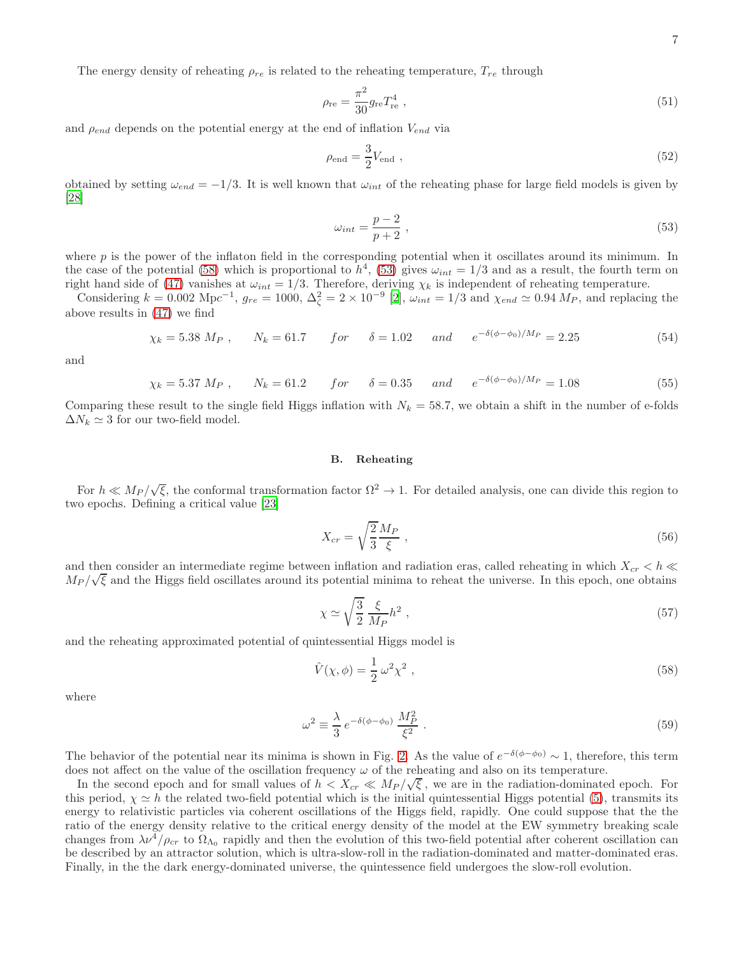The energy density of reheating  $\rho_{re}$  is related to the reheating temperature,  $T_{re}$  through

$$
\rho_{\rm re} = \frac{\pi^2}{30} g_{\rm re} T_{\rm re}^4 \,, \tag{51}
$$

and  $\rho_{end}$  depends on the potential energy at the end of inflation  $V_{end}$  via

$$
\rho_{\rm end} = \frac{3}{2} V_{\rm end} \tag{52}
$$

obtained by setting  $\omega_{end} = -1/3$ . It is well known that  $\omega_{int}$  of the reheating phase for large field models is given by [\[28\]](#page-8-17)

<span id="page-6-1"></span>
$$
\omega_{int} = \frac{p-2}{p+2} \,,\tag{53}
$$

where  $p$  is the power of the inflaton field in the corresponding potential when it oscillates around its minimum. In the case of the potential [\(58\)](#page-6-0) which is proportional to  $h^4$ , [\(53\)](#page-6-1) gives  $\omega_{int} = 1/3$  and as a result, the fourth term on right hand side of [\(47\)](#page-5-3) vanishes at  $\omega_{int} = 1/3$ . Therefore, deriving  $\chi_k$  is independent of reheating temperature.

Considering  $k = 0.002 \text{ Mpc}^{-1}$ ,  $g_{re} = 1000$ ,  $\Delta_{\zeta}^2 = 2 \times 10^{-9}$  [\[2\]](#page-7-1),  $\omega_{int} = 1/3$  and  $\chi_{end} \simeq 0.94 M_P$ , and replacing the above results in [\(47\)](#page-5-3) we find

$$
\chi_k = 5.38 \ M_P \ , \qquad N_k = 61.7 \qquad for \qquad \delta = 1.02 \qquad and \qquad e^{-\delta(\phi - \phi_0)/M_P} = 2.25 \tag{54}
$$

and

$$
\chi_k = 5.37 \ M_P \ , \qquad N_k = 61.2 \qquad for \qquad \delta = 0.35 \qquad and \qquad e^{-\delta(\phi - \phi_0)/M_P} = 1.08 \tag{55}
$$

Comparing these result to the single field Higgs inflation with  $N_k = 58.7$ , we obtain a shift in the number of e-folds  $\Delta N_k \simeq 3$  for our two-field model.

# B. Reheating

For  $h \ll M_P/\sqrt{\xi}$ , the conformal transformation factor  $\Omega^2 \to 1$ . For detailed analysis, one can divide this region to two epochs. Defining a critical value [\[23\]](#page-8-18)

$$
X_{cr} = \sqrt{\frac{2}{3}} \frac{M_P}{\xi} \tag{56}
$$

and then consider an intermediate regime between inflation and radiation eras, called reheating in which  $X_{cr} < h \ll$  $M_P/\sqrt{\xi}$  and the Higgs field oscillates around its potential minima to reheat the universe. In this epoch, one obtains

$$
\chi \simeq \sqrt{\frac{3}{2}} \frac{\xi}{M_P} h^2 \;, \tag{57}
$$

and the reheating approximated potential of quintessential Higgs model is

<span id="page-6-0"></span>
$$
\hat{V}(\chi,\phi) = \frac{1}{2}\,\omega^2\chi^2\,,\tag{58}
$$

where

$$
\omega^2 \equiv \frac{\lambda}{3} e^{-\delta(\phi - \phi_0)} \frac{M_P^2}{\xi^2} \,. \tag{59}
$$

The behavior of the potential near its minima is shown in Fig. [2.](#page-7-9) As the value of  $e^{-\delta(\phi-\phi_0)} \sim 1$ , therefore, this term does not affect on the value of the oscillation frequency  $\omega$  of the reheating and also on its temperature.

In the second epoch and for small values of  $h < X_{cr} \ll M_P / \sqrt{\xi}$ , we are in the radiation-dominated epoch. For this period,  $\chi \simeq h$  the related two-field potential which is the initial quintessential Higgs potential [\(5\)](#page-2-0), transmits its energy to relativistic particles via coherent oscillations of the Higgs field, rapidly. One could suppose that the the ratio of the energy density relative to the critical energy density of the model at the EW symmetry breaking scale changes from  $\lambda \nu^4/\rho_{cr}$  to  $\Omega_{\Lambda_0}$  rapidly and then the evolution of this two-field potential after coherent oscillation can be described by an attractor solution, which is ultra-slow-roll in the radiation-dominated and matter-dominated eras. Finally, in the the dark energy-dominated universe, the quintessence field undergoes the slow-roll evolution.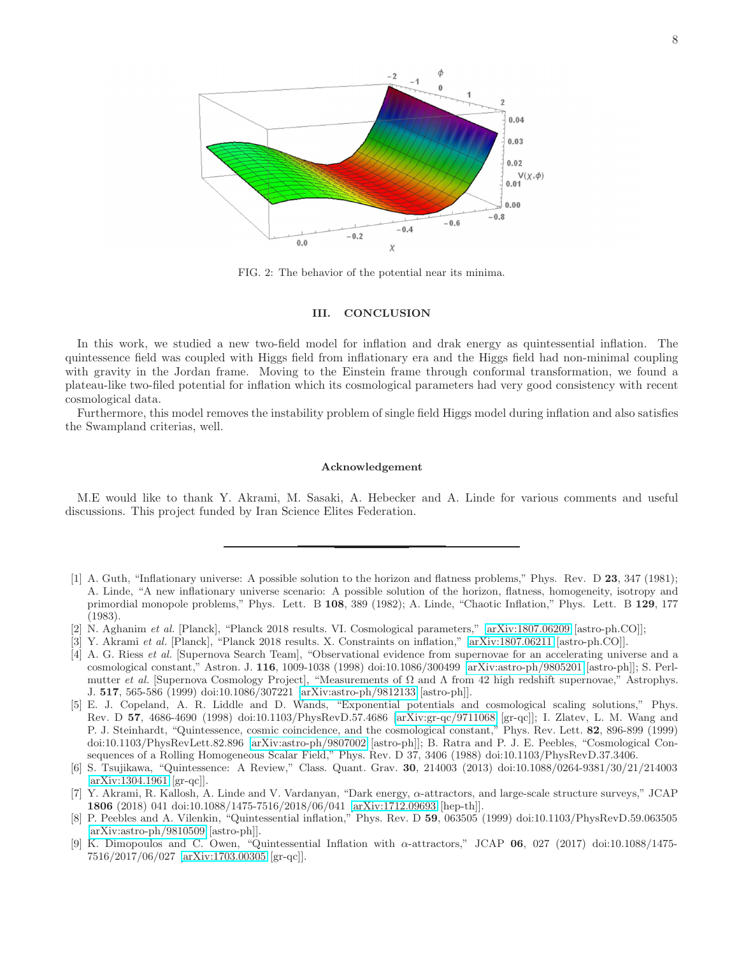

<span id="page-7-9"></span>FIG. 2: The behavior of the potential near its minima.

# III. CONCLUSION

In this work, we studied a new two-field model for inflation and drak energy as quintessential inflation. The quintessence field was coupled with Higgs field from inflationary era and the Higgs field had non-minimal coupling with gravity in the Jordan frame. Moving to the Einstein frame through conformal transformation, we found a plateau-like two-filed potential for inflation which its cosmological parameters had very good consistency with recent cosmological data.

Furthermore, this model removes the instability problem of single field Higgs model during inflation and also satisfies the Swampland criterias, well.

#### Acknowledgement

M.E would like to thank Y. Akrami, M. Sasaki, A. Hebecker and A. Linde for various comments and useful discussions. This project funded by Iran Science Elites Federation.

- <span id="page-7-0"></span>[1] A. Guth, "Inflationary universe: A possible solution to the horizon and flatness problems," Phys. Rev. D 23, 347 (1981); A. Linde, "A new inflationary universe scenario: A possible solution of the horizon, flatness, homogeneity, isotropy and primordial monopole problems," Phys. Lett. B 108, 389 (1982); A. Linde, "Chaotic Inflation," Phys. Lett. B 129, 177 (1983).
- <span id="page-7-1"></span>[2] N. Aghanim et al. [Planck], "Planck 2018 results. VI. Cosmological parameters," [\[arXiv:1807.06209](http://arxiv.org/abs/1807.06209) [astro-ph.CO]];
- <span id="page-7-2"></span>[3] Y. Akrami et al. [Planck], "Planck 2018 results. X. Constraints on inflation," [\[arXiv:1807.06211](http://arxiv.org/abs/1807.06211) [astro-ph.CO]].
- <span id="page-7-3"></span>[4] A. G. Riess et al. [Supernova Search Team], "Observational evidence from supernovae for an accelerating universe and a cosmological constant," Astron. J. 116, 1009-1038 (1998) doi:10.1086/300499 [\[arXiv:astro-ph/9805201](http://arxiv.org/abs/astro-ph/9805201) [astro-ph]]; S. Perlmutter *et al.* [Supernova Cosmology Project], "Measurements of Ω and  $Λ$  from 42 high redshift supernovae," Astrophys. J. 517, 565-586 (1999) doi:10.1086/307221 [\[arXiv:astro-ph/9812133](http://arxiv.org/abs/astro-ph/9812133) [astro-ph]].
- <span id="page-7-4"></span>[5] E. J. Copeland, A. R. Liddle and D. Wands, "Exponential potentials and cosmological scaling solutions," Phys. Rev. D 57, 4686-4690 (1998) doi:10.1103/PhysRevD.57.4686 [\[arXiv:gr-qc/9711068](http://arxiv.org/abs/gr-qc/9711068) [gr-qc]]; I. Zlatev, L. M. Wang and P. J. Steinhardt, "Quintessence, cosmic coincidence, and the cosmological constant," Phys. Rev. Lett. 82, 896-899 (1999) doi:10.1103/PhysRevLett.82.896 [\[arXiv:astro-ph/9807002](http://arxiv.org/abs/astro-ph/9807002) [astro-ph]]; B. Ratra and P. J. E. Peebles, "Cosmological Consequences of a Rolling Homogeneous Scalar Field," Phys. Rev. D 37, 3406 (1988) doi:10.1103/PhysRevD.37.3406.
- <span id="page-7-5"></span>[6] S. Tsujikawa, "Quintessence: A Review," Class. Quant. Grav. 30, 214003 (2013) doi:10.1088/0264-9381/30/21/214003 [\[arXiv:1304.1961](http://arxiv.org/abs/1304.1961) [gr-qc]].
- <span id="page-7-6"></span>[7] Y. Akrami, R. Kallosh, A. Linde and V. Vardanyan, "Dark energy, α-attractors, and large-scale structure surveys," JCAP 1806 (2018) 041 doi:10.1088/1475-7516/2018/06/041 [\[arXiv:1712.09693](http://arxiv.org/abs/1712.09693) [hep-th]].
- <span id="page-7-7"></span>[8] P. Peebles and A. Vilenkin, "Quintessential inflation," Phys. Rev. D 59, 063505 (1999) doi:10.1103/PhysRevD.59.063505 [\[arXiv:astro-ph/9810509](http://arxiv.org/abs/astro-ph/9810509) [astro-ph]].
- <span id="page-7-8"></span>[9] K. Dimopoulos and C. Owen, "Quintessential Inflation with  $\alpha$ -attractors," JCAP 06, 027 (2017) doi:10.1088/1475-7516/2017/06/027 [\[arXiv:1703.00305](http://arxiv.org/abs/1703.00305) [gr-qc]].